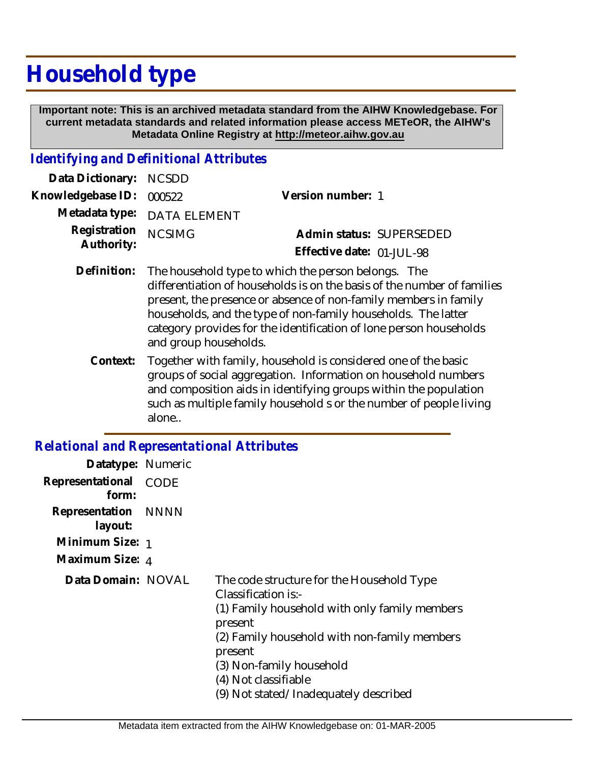## **Household type**

 **Important note: This is an archived metadata standard from the AIHW Knowledgebase. For current metadata standards and related information please access METeOR, the AIHW's Metadata Online Registry at http://meteor.aihw.gov.au**

## *Identifying and Definitional Attributes*

| Data Dictionary: NCSDD            |                             |                           |  |
|-----------------------------------|-----------------------------|---------------------------|--|
| Knowledgebase ID: 000522          |                             | Version number: 1         |  |
|                                   | Metadata type: DATA ELEMENT |                           |  |
| Registration NCSIMG<br>Authority: |                             | Admin status: SUPERSEDED  |  |
|                                   |                             | Effective date: 01-JUL-98 |  |
|                                   |                             |                           |  |

- The household type to which the person belongs. The differentiation of households is on the basis of the number of families present, the presence or absence of non-family members in family households, and the type of non-family households. The latter category provides for the identification of lone person households and group households. **Definition:**
	- Together with family, household is considered one of the basic groups of social aggregation. Information on household numbers and composition aids in identifying groups within the population such as multiple family household s or the number of people living alone.. **Context:**

## *Relational and Representational Attributes*

| Datatype: Numeric              |      |                                                                                                                                                                                                                                                                                      |
|--------------------------------|------|--------------------------------------------------------------------------------------------------------------------------------------------------------------------------------------------------------------------------------------------------------------------------------------|
| Representational<br>form:      | CODE |                                                                                                                                                                                                                                                                                      |
| Representation NNNN<br>layout: |      |                                                                                                                                                                                                                                                                                      |
| Minimum Size: 1                |      |                                                                                                                                                                                                                                                                                      |
| Maximum Size: 4                |      |                                                                                                                                                                                                                                                                                      |
| Data Domain: NOVAL             |      | The code structure for the Household Type<br>Classification is:-<br>(1) Family household with only family members<br>present<br>(2) Family household with non-family members<br>present<br>(3) Non-family household<br>(4) Not classifiable<br>(9) Not stated/Inadequately described |